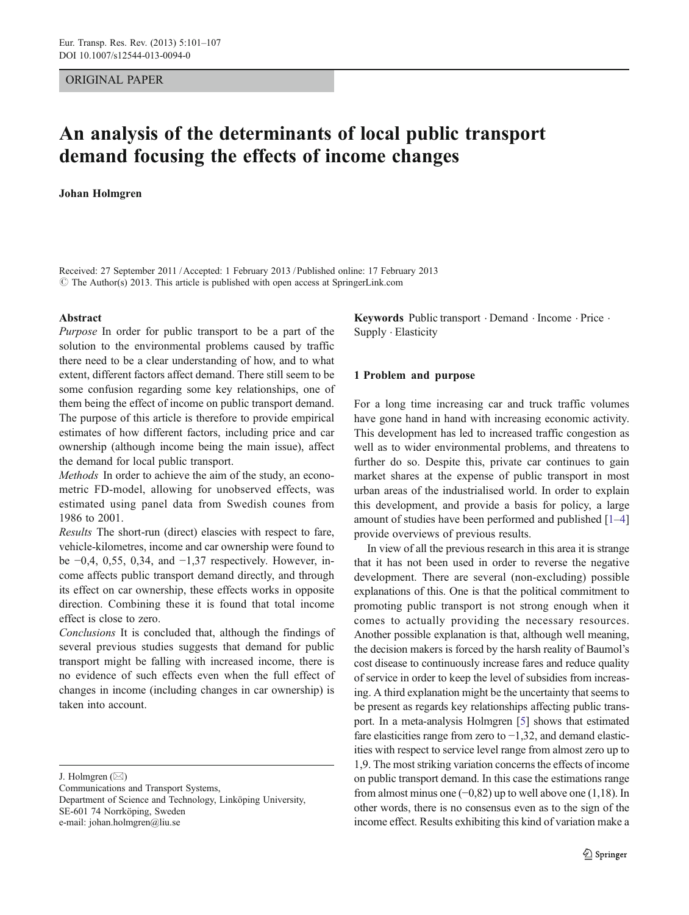# ORIGINAL PAPER

# An analysis of the determinants of local public transport demand focusing the effects of income changes

## Johan Holmgren

Received: 27 September 2011 /Accepted: 1 February 2013 / Published online: 17 February 2013  $\odot$  The Author(s) 2013. This article is published with open access at SpringerLink.com

## Abstract

Purpose In order for public transport to be a part of the solution to the environmental problems caused by traffic there need to be a clear understanding of how, and to what extent, different factors affect demand. There still seem to be some confusion regarding some key relationships, one of them being the effect of income on public transport demand. The purpose of this article is therefore to provide empirical estimates of how different factors, including price and car ownership (although income being the main issue), affect the demand for local public transport.

Methods In order to achieve the aim of the study, an econometric FD-model, allowing for unobserved effects, was estimated using panel data from Swedish counes from 1986 to 2001.

Results The short-run (direct) elascies with respect to fare, vehicle-kilometres, income and car ownership were found to be −0,4, 0,55, 0,34, and −1,37 respectively. However, income affects public transport demand directly, and through its effect on car ownership, these effects works in opposite direction. Combining these it is found that total income effect is close to zero.

Conclusions It is concluded that, although the findings of several previous studies suggests that demand for public transport might be falling with increased income, there is no evidence of such effects even when the full effect of changes in income (including changes in car ownership) is taken into account.

Communications and Transport Systems, Department of Science and Technology, Linköping University, SE-601 74 Norrköping, Sweden

e-mail: johan.holmgren@liu.se

Keywords Public transport . Demand . Income . Price . Supply . Elasticity

## 1 Problem and purpose

For a long time increasing car and truck traffic volumes have gone hand in hand with increasing economic activity. This development has led to increased traffic congestion as well as to wider environmental problems, and threatens to further do so. Despite this, private car continues to gain market shares at the expense of public transport in most urban areas of the industrialised world. In order to explain this development, and provide a basis for policy, a large amount of studies have been performed and published [\[1](#page-6-0)–[4](#page-6-0)] provide overviews of previous results.

In view of all the previous research in this area it is strange that it has not been used in order to reverse the negative development. There are several (non-excluding) possible explanations of this. One is that the political commitment to promoting public transport is not strong enough when it comes to actually providing the necessary resources. Another possible explanation is that, although well meaning, the decision makers is forced by the harsh reality of Baumol's cost disease to continuously increase fares and reduce quality of service in order to keep the level of subsidies from increasing. A third explanation might be the uncertainty that seems to be present as regards key relationships affecting public transport. In a meta-analysis Holmgren [[5\]](#page-6-0) shows that estimated fare elasticities range from zero to −1,32, and demand elasticities with respect to service level range from almost zero up to 1,9. The most striking variation concerns the effects of income on public transport demand. In this case the estimations range from almost minus one  $(-0.82)$  up to well above one  $(1,18)$ . In other words, there is no consensus even as to the sign of the income effect. Results exhibiting this kind of variation make a

J. Holmgren  $(\boxtimes)$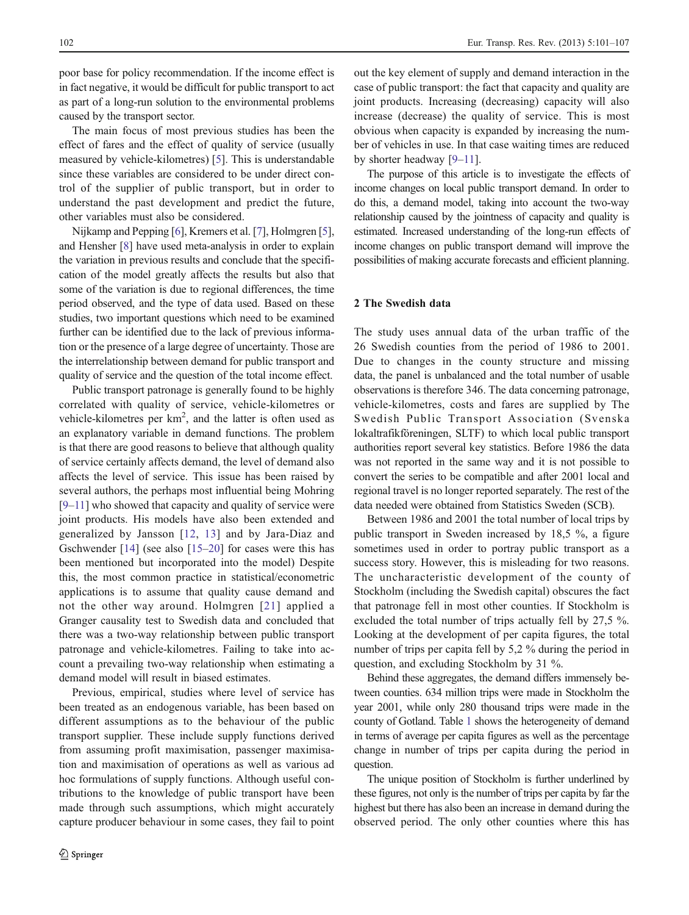poor base for policy recommendation. If the income effect is in fact negative, it would be difficult for public transport to act as part of a long-run solution to the environmental problems caused by the transport sector.

The main focus of most previous studies has been the effect of fares and the effect of quality of service (usually measured by vehicle-kilometres) [[5\]](#page-6-0). This is understandable since these variables are considered to be under direct control of the supplier of public transport, but in order to understand the past development and predict the future, other variables must also be considered.

Nijkamp and Pepping [\[6](#page-6-0)], Kremers et al. [[7\]](#page-6-0), Holmgren [[5\]](#page-6-0), and Hensher [[8\]](#page-6-0) have used meta-analysis in order to explain the variation in previous results and conclude that the specification of the model greatly affects the results but also that some of the variation is due to regional differences, the time period observed, and the type of data used. Based on these studies, two important questions which need to be examined further can be identified due to the lack of previous information or the presence of a large degree of uncertainty. Those are the interrelationship between demand for public transport and quality of service and the question of the total income effect.

Public transport patronage is generally found to be highly correlated with quality of service, vehicle-kilometres or vehicle-kilometres per  $km^2$ , and the latter is often used as an explanatory variable in demand functions. The problem is that there are good reasons to believe that although quality of service certainly affects demand, the level of demand also affects the level of service. This issue has been raised by several authors, the perhaps most influential being Mohring [\[9](#page-6-0)–[11\]](#page-6-0) who showed that capacity and quality of service were joint products. His models have also been extended and generalized by Jansson [[12](#page-6-0), [13](#page-6-0)] and by Jara-Diaz and Gschwender [\[14](#page-6-0)] (see also [\[15](#page-6-0)–[20](#page-6-0)] for cases were this has been mentioned but incorporated into the model) Despite this, the most common practice in statistical/econometric applications is to assume that quality cause demand and not the other way around. Holmgren [[21](#page-6-0)] applied a Granger causality test to Swedish data and concluded that there was a two-way relationship between public transport patronage and vehicle-kilometres. Failing to take into account a prevailing two-way relationship when estimating a demand model will result in biased estimates.

Previous, empirical, studies where level of service has been treated as an endogenous variable, has been based on different assumptions as to the behaviour of the public transport supplier. These include supply functions derived from assuming profit maximisation, passenger maximisation and maximisation of operations as well as various ad hoc formulations of supply functions. Although useful contributions to the knowledge of public transport have been made through such assumptions, which might accurately capture producer behaviour in some cases, they fail to point out the key element of supply and demand interaction in the case of public transport: the fact that capacity and quality are joint products. Increasing (decreasing) capacity will also increase (decrease) the quality of service. This is most obvious when capacity is expanded by increasing the number of vehicles in use. In that case waiting times are reduced by shorter headway [[9](#page-6-0)–[11\]](#page-6-0).

The purpose of this article is to investigate the effects of income changes on local public transport demand. In order to do this, a demand model, taking into account the two-way relationship caused by the jointness of capacity and quality is estimated. Increased understanding of the long-run effects of income changes on public transport demand will improve the possibilities of making accurate forecasts and efficient planning.

# 2 The Swedish data

The study uses annual data of the urban traffic of the 26 Swedish counties from the period of 1986 to 2001. Due to changes in the county structure and missing data, the panel is unbalanced and the total number of usable observations is therefore 346. The data concerning patronage, vehicle-kilometres, costs and fares are supplied by The Swedish Public Transport Association (Svenska lokaltrafikföreningen, SLTF) to which local public transport authorities report several key statistics. Before 1986 the data was not reported in the same way and it is not possible to convert the series to be compatible and after 2001 local and regional travel is no longer reported separately. The rest of the data needed were obtained from Statistics Sweden (SCB).

Between 1986 and 2001 the total number of local trips by public transport in Sweden increased by 18,5 %, a figure sometimes used in order to portray public transport as a success story. However, this is misleading for two reasons. The uncharacteristic development of the county of Stockholm (including the Swedish capital) obscures the fact that patronage fell in most other counties. If Stockholm is excluded the total number of trips actually fell by 27,5 %. Looking at the development of per capita figures, the total number of trips per capita fell by 5,2 % during the period in question, and excluding Stockholm by 31 %.

Behind these aggregates, the demand differs immensely between counties. 634 million trips were made in Stockholm the year 2001, while only 280 thousand trips were made in the county of Gotland. Table [1](#page-2-0) shows the heterogeneity of demand in terms of average per capita figures as well as the percentage change in number of trips per capita during the period in question.

The unique position of Stockholm is further underlined by these figures, not only is the number of trips per capita by far the highest but there has also been an increase in demand during the observed period. The only other counties where this has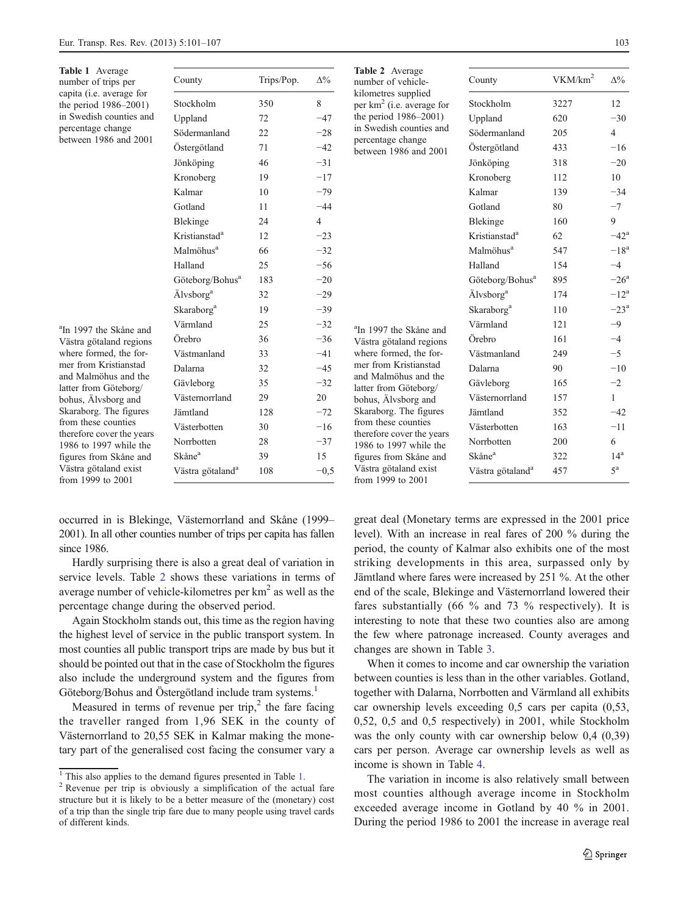<span id="page-2-0"></span>

| Table 1 Average                                                                                                                                                                                                                                                        |                              |            |                |
|------------------------------------------------------------------------------------------------------------------------------------------------------------------------------------------------------------------------------------------------------------------------|------------------------------|------------|----------------|
| number of trips per                                                                                                                                                                                                                                                    | County                       | Trips/Pop. | $\Delta\%$     |
| capita (i.e. average for<br>the period $1986 - 2001$ )                                                                                                                                                                                                                 | Stockholm                    | 350        | 8              |
| in Swedish counties and                                                                                                                                                                                                                                                | Uppland                      | 72         | $-47$          |
| percentage change                                                                                                                                                                                                                                                      | Södermanland                 | 22         | $-28$          |
| between 1986 and 2001                                                                                                                                                                                                                                                  | Östergötland                 | 71         | $-42$          |
|                                                                                                                                                                                                                                                                        | Jönköping                    | 46         | $-31$          |
|                                                                                                                                                                                                                                                                        | Kronoberg                    | 19         | $-17$          |
|                                                                                                                                                                                                                                                                        | Kalmar                       | 10         | $-79$          |
|                                                                                                                                                                                                                                                                        | Gotland                      | 11         | $-44$          |
|                                                                                                                                                                                                                                                                        | Blekinge                     | 24         | $\overline{4}$ |
|                                                                                                                                                                                                                                                                        | Kristianstad <sup>a</sup>    | 12         | $-23$          |
|                                                                                                                                                                                                                                                                        | Malmöhus <sup>a</sup>        | 66         | $-32$          |
|                                                                                                                                                                                                                                                                        | Halland                      | 25         | $-56$          |
|                                                                                                                                                                                                                                                                        | Göteborg/Bohus <sup>a</sup>  | 183        | $-20$          |
|                                                                                                                                                                                                                                                                        | Älvsborg <sup>a</sup>        | 32         | $-29$          |
| <sup>a</sup> In 1997 the Skåne and<br>Västra götaland regions<br>where formed, the for-<br>mer from Kristianstad<br>and Malmöhus and the<br>latter from Göteborg/<br>bohus, Alvsborg and<br>Skaraborg. The figures<br>from these counties<br>therefore cover the years | Skaraborg <sup>a</sup>       | 19         | $-39$          |
|                                                                                                                                                                                                                                                                        | Värmland                     | 25         | $-32$          |
|                                                                                                                                                                                                                                                                        | Örebro                       | 36         | $-36$          |
|                                                                                                                                                                                                                                                                        | Västmanland                  | 33         | $-41$          |
|                                                                                                                                                                                                                                                                        | Dalarna                      | 32         | $-45$          |
|                                                                                                                                                                                                                                                                        | Gävleborg                    | 35         | $-32$          |
|                                                                                                                                                                                                                                                                        | Västernorrland               | 29         | 20             |
|                                                                                                                                                                                                                                                                        | Jämtland                     | 128        | $-72$          |
|                                                                                                                                                                                                                                                                        | Västerbotten                 | 30         | $-16$          |
| 1986 to 1997 while the                                                                                                                                                                                                                                                 | Norrbotten                   | 28         | $-37$          |
| figures from Skåne and                                                                                                                                                                                                                                                 | Skåne <sup>a</sup>           | 39         | 15             |
| Västra götaland exist<br>from $1000$ to $2001$                                                                                                                                                                                                                         | Västra götaland <sup>a</sup> | 108        | $-0,5$         |

occurred in is Blekinge, Västernorrland and Skåne (1999– figures from Skåne and Västra götaland exist from 1999 to 2001

2001). In all other counties number of trips per capita has fallen since 1986.

Hardly surprising there is also a great deal of variation in service levels. Table 2 shows these variations in terms of average number of vehicle-kilometres per  $km<sup>2</sup>$  as well as the percentage change during the observed period.

Again Stockholm stands out, this time as the region having the highest level of service in the public transport system. In most counties all public transport trips are made by bus but it should be pointed out that in the case of Stockholm the figures also include the underground system and the figures from Göteborg/Bohus and Östergötland include tram systems.<sup>1</sup>

Measured in terms of revenue per trip,<sup>2</sup> the fare facing the traveller ranged from 1,96 SEK in the county of Västernorrland to 20,55 SEK in Kalmar making the monetary part of the generalised cost facing the consumer vary a

| per $km^2$ (i.e. average for                                  | Stockholi  |
|---------------------------------------------------------------|------------|
| the period $1986 - 2001$ )                                    | Uppland    |
| in Swedish counties and                                       | Södermar   |
| percentage change<br>between 1986 and 2001                    | Östergötl  |
|                                                               | Jönköpin   |
|                                                               | Kronober   |
|                                                               | Kalmar     |
|                                                               | Gotland    |
|                                                               | Blekinge   |
|                                                               | Kristianst |
|                                                               | Malmöhu    |
|                                                               | Halland    |
|                                                               | Göteborg   |
|                                                               | Alvsborg   |
|                                                               | Skaraborg  |
|                                                               | Värmland   |
| <sup>a</sup> In 1997 the Skåne and<br>Västra götaland regions | Örebro     |
|                                                               |            |

Västra göt where formed, the former from Kristianstad and Malmöhus and the latter from Göteborg/ bohus, Älvsborg and Skaraborg. The figures from these counties therefore cover the years 1986 to 1997 while the figures from Skåne and Västra götaland exist

from 1999 to 2001

Table 2 Average number of vehiclekilometres supplied

| County                       | VKM/km <sup>2</sup> | $\Delta\%$               |
|------------------------------|---------------------|--------------------------|
| Stockholm                    | 3227                | 12                       |
| Uppland                      | 620                 | $-30$                    |
| Södermanland                 | 205                 | $\overline{\mathcal{L}}$ |
| Östergötland                 | 433                 | $-16$                    |
| Jönköping                    | 318                 | $-20$                    |
| Kronoberg                    | 112                 | 10                       |
| Kalmar                       | 139                 | $-34$                    |
| Gotland                      | 80                  | $-7$                     |
| Blekinge                     | 160                 | 9                        |
| Kristianstad <sup>a</sup>    | 62                  | $-42^{\rm a}$            |
| Malmöhus <sup>a</sup>        | 547                 | $-18^{a}$                |
| Halland                      | 154                 | $-4$                     |
| Göteborg/Bohus <sup>a</sup>  | 895                 | $-26$ <sup>a</sup>       |
| Älvsborg <sup>a</sup>        | 174                 | $-12^{\rm a}$            |
| Skaraborg <sup>a</sup>       | 110                 | $-23a$                   |
| Värmland                     | 121                 | $-9$                     |
| Örebro                       | 161                 | $-4$                     |
| Västmanland                  | 249                 | $-5$                     |
| Dalarna                      | 90                  | $-10$                    |
| Gävleborg                    | 165                 | $-2$                     |
| Västernorrland               | 157                 | $\mathbf{1}$             |
| Jämtland                     | 352                 | $-42$                    |
| Västerbotten                 | 163                 | $-11$                    |
| Norrbotten                   | 200                 | 6                        |
| Skåne <sup>a</sup>           | 322                 | 14 <sup>a</sup>          |
| Västra götaland <sup>a</sup> | 457                 | $5^{\rm a}$              |

great deal (Monetary terms are expressed in the 2001 price level). With an increase in real fares of 200 % during the period, the county of Kalmar also exhibits one of the most striking developments in this area, surpassed only by Jämtland where fares were increased by 251 %. At the other end of the scale, Blekinge and Västernorrland lowered their fares substantially (66 % and 73 % respectively). It is interesting to note that these two counties also are among the few where patronage increased. County averages and changes are shown in Table [3](#page-3-0).

When it comes to income and car ownership the variation between counties is less than in the other variables. Gotland, together with Dalarna, Norrbotten and Värmland all exhibits car ownership levels exceeding 0,5 cars per capita (0,53, 0,52, 0,5 and 0,5 respectively) in 2001, while Stockholm was the only county with car ownership below 0,4 (0,39) cars per person. Average car ownership levels as well as income is shown in Table [4](#page-3-0).

The variation in income is also relatively small between most counties although average income in Stockholm exceeded average income in Gotland by 40 % in 2001. During the period 1986 to 2001 the increase in average real

<sup>&</sup>lt;sup>1</sup> This also applies to the demand figures presented in Table 1.<br><sup>2</sup> Revenue per trip is obviously a simplification of the actual fare structure but it is likely to be a better measure of the (monetary) cost of a trip than the single trip fare due to many people using travel cards of different kinds.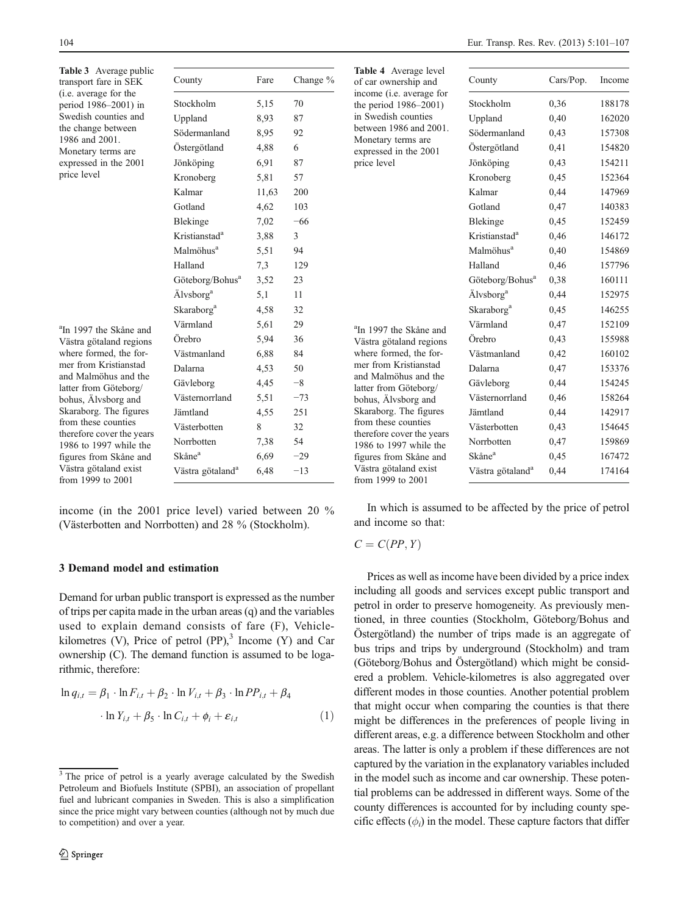<span id="page-3-0"></span>

| Table 3 Average public<br>transport fare in SEK                                                                                                                                                                                                            | County                       | Fare  | Change $%$ |
|------------------------------------------------------------------------------------------------------------------------------------------------------------------------------------------------------------------------------------------------------------|------------------------------|-------|------------|
| (i.e. average for the<br>period 1986–2001) in                                                                                                                                                                                                              | Stockholm                    | 5,15  | 70         |
| Swedish counties and                                                                                                                                                                                                                                       | Uppland                      | 8,93  | 87         |
| the change between                                                                                                                                                                                                                                         | Södermanland                 | 8,95  | 92         |
| 1986 and 2001.<br>Monetary terms are                                                                                                                                                                                                                       | Östergötland                 | 4,88  | 6          |
| expressed in the 2001                                                                                                                                                                                                                                      | Jönköping                    | 6,91  | 87         |
| price level                                                                                                                                                                                                                                                | Kronoberg                    | 5,81  | 57         |
|                                                                                                                                                                                                                                                            | Kalmar                       | 11,63 | 200        |
|                                                                                                                                                                                                                                                            | Gotland                      | 4,62  | 103        |
|                                                                                                                                                                                                                                                            | Blekinge                     | 7,02  | $-66$      |
|                                                                                                                                                                                                                                                            | Kristianstad <sup>a</sup>    | 3,88  | 3          |
|                                                                                                                                                                                                                                                            | Malmöhus <sup>a</sup>        | 5,51  | 94         |
|                                                                                                                                                                                                                                                            | Halland                      | 7,3   | 129        |
|                                                                                                                                                                                                                                                            | Göteborg/Bohus <sup>a</sup>  | 3,52  | 23         |
|                                                                                                                                                                                                                                                            | Älvsborg <sup>a</sup>        | 5,1   | 11         |
|                                                                                                                                                                                                                                                            | Skaraborg <sup>a</sup>       | 4,58  | 32         |
| <sup>a</sup> In 1997 the Skåne and                                                                                                                                                                                                                         | Värmland                     | 5,61  | 29         |
| Västra götaland regions<br>where formed, the for-<br>mer from Kristianstad<br>and Malmöhus and the<br>latter from Göteborg/<br>bohus, Alvsborg and<br>Skaraborg. The figures<br>from these counties<br>therefore cover the years<br>1986 to 1997 while the | Örebro                       | 5,94  | 36         |
|                                                                                                                                                                                                                                                            | Västmanland                  | 6,88  | 84         |
|                                                                                                                                                                                                                                                            | Dalarna                      | 4,53  | 50         |
|                                                                                                                                                                                                                                                            | Gävleborg                    | 4,45  | $-8$       |
|                                                                                                                                                                                                                                                            | Västernorrland               | 5,51  | $-73$      |
|                                                                                                                                                                                                                                                            | Jämtland                     | 4,55  | 251        |
|                                                                                                                                                                                                                                                            | Västerbotten                 | 8     | 32         |
|                                                                                                                                                                                                                                                            | Norrbotten                   | 7,38  | 54         |
| figures from Skåne and                                                                                                                                                                                                                                     | Skåne <sup>a</sup>           | 6,69  | $-29$      |
| Västra götaland exist<br>from 1999 to 2001                                                                                                                                                                                                                 | Västra götaland <sup>a</sup> | 6,48  | $-13$      |

income (in the 2001 price level) varied between 20 % (Västerbotten and Norrbotten) and 28 % (Stockholm).

# 3 Demand model and estimation

Demand for urban public transport is expressed as the number of trips per capita made in the urban areas (q) and the variables used to explain demand consists of fare (F), Vehiclekilometres (V), Price of petrol  $(PP)$ ,<sup>3</sup> Income (Y) and Car ownership (C). The demand function is assumed to be logarithmic, therefore:

$$
\ln q_{i,t} = \beta_1 \cdot \ln F_{i,t} + \beta_2 \cdot \ln V_{i,t} + \beta_3 \cdot \ln PP_{i,t} + \beta_4
$$
  
 
$$
\cdot \ln Y_{i,t} + \beta_5 \cdot \ln C_{i,t} + \phi_i + \varepsilon_{i,t}
$$
 (1)

| <b>Table 4</b> Average level<br>of car ownership and | County                    |
|------------------------------------------------------|---------------------------|
| income (i.e. average for                             |                           |
| the period $1986 - 2001$ )                           | Stockholm                 |
| in Swedish counties<br>between 1986 and 2001.        | Uppland                   |
| Monetary terms are                                   | Södermanland              |
| expressed in the 2001                                | Östergötland              |
| price level                                          | Jönköping                 |
|                                                      | Kronoberg                 |
|                                                      | Kalmar                    |
|                                                      | Gotland                   |
|                                                      | Blekinge                  |
|                                                      | Kristianstad <sup>a</sup> |
|                                                      | Malmöhus <sup>a</sup>     |
|                                                      | Halland                   |
|                                                      | Göteborg/Bohu             |
|                                                      | Älvsborg <sup>a</sup>     |
|                                                      | Skaraborg <sup>a</sup>    |
| <sup>a</sup> In 1997 the Skåne and                   | Värmland                  |
| Västra götaland regions                              | Örebro                    |
| where formed, the for-                               | Västmanland               |
| mer from Kristianstad                                | Dalarna                   |
| and Malmöhus and the                                 | Gävleborg                 |
| latter from Göteborg/<br>bohus, Alvsborg and         | Västernorrland            |
| Skaraborg. The figures                               | Jämtland                  |
| from these counties                                  | Västerbotten              |
| therefore cover the years<br>1986 to 1997 while the  | Norrbotten                |
| figures from Skåne and                               | Skåne <sup>a</sup>        |
| Västra götaland exist<br>from 1999 to 2001           | Västra götaland           |
|                                                      |                           |

Cars/Pop. Income Stockholm 0,36 188178 Uppland 0,40 162020 Södermanland 0,43 157308 Östergötland 0,41 154820 Jönköping 0,43 154211 0,45 152364 0,44 147969 Gotland 0,47 140383 Blekinge 0,45 152459 0,46 146172 0,40 154869 0,46 157796  $s^a$  0,38 160111 0,44 152975 0,45 146255 Värmland 0,47 152109 0.43 155988 0,42 160102 Dalarna 0,47 153376 Gävleborg 0,44 154245 0,46 158264 0,44 142917 0,43 154645 0,47 159869 0,45 167472 0,44 174164

In which is assumed to be affected by the price of petrol and income so that:

 $C = C(PP, Y)$ 

Prices as well as income have been divided by a price index including all goods and services except public transport and petrol in order to preserve homogeneity. As previously mentioned, in three counties (Stockholm, Göteborg/Bohus and Östergötland) the number of trips made is an aggregate of bus trips and trips by underground (Stockholm) and tram (Göteborg/Bohus and Östergötland) which might be considered a problem. Vehicle-kilometres is also aggregated over different modes in those counties. Another potential problem that might occur when comparing the counties is that there might be differences in the preferences of people living in different areas, e.g. a difference between Stockholm and other areas. The latter is only a problem if these differences are not captured by the variation in the explanatory variables included in the model such as income and car ownership. These potential problems can be addressed in different ways. Some of the county differences is accounted for by including county specific effects  $(\phi_i)$  in the model. These capture factors that differ

<sup>&</sup>lt;sup>3</sup> The price of petrol is a yearly average calculated by the Swedish Petroleum and Biofuels Institute (SPBI), an association of propellant fuel and lubricant companies in Sweden. This is also a simplification since the price might vary between counties (although not by much due to competition) and over a year.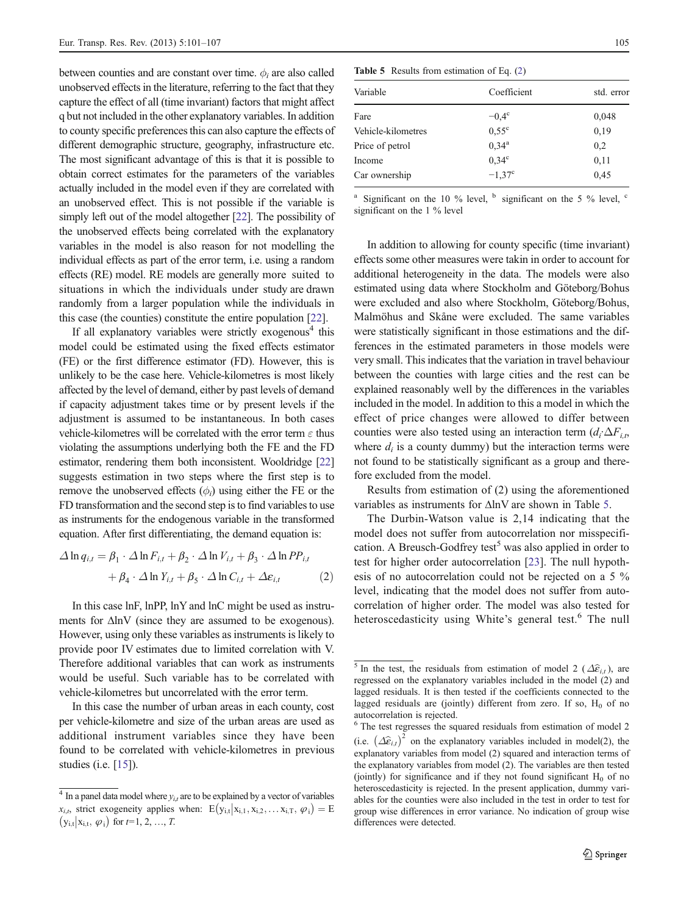between counties and are constant over time.  $\phi_i$  are also called unobserved effects in the literature, referring to the fact that they capture the effect of all (time invariant) factors that might affect q but not included in the other explanatory variables. In addition to county specific preferences this can also capture the effects of different demographic structure, geography, infrastructure etc. The most significant advantage of this is that it is possible to obtain correct estimates for the parameters of the variables actually included in the model even if they are correlated with an unobserved effect. This is not possible if the variable is simply left out of the model altogether [\[22\]](#page-6-0). The possibility of the unobserved effects being correlated with the explanatory variables in the model is also reason for not modelling the individual effects as part of the error term, i.e. using a random effects (RE) model. RE models are generally more suited to situations in which the individuals under study are drawn randomly from a larger population while the individuals in this case (the counties) constitute the entire population [[22](#page-6-0)].

If all explanatory variables were strictly exogenous<sup>4</sup> this model could be estimated using the fixed effects estimator (FE) or the first difference estimator (FD). However, this is unlikely to be the case here. Vehicle-kilometres is most likely affected by the level of demand, either by past levels of demand if capacity adjustment takes time or by present levels if the adjustment is assumed to be instantaneous. In both cases vehicle-kilometres will be correlated with the error term  $\varepsilon$  thus violating the assumptions underlying both the FE and the FD estimator, rendering them both inconsistent. Wooldridge [\[22\]](#page-6-0) suggests estimation in two steps where the first step is to remove the unobserved effects  $(\phi_i)$  using either the FE or the FD transformation and the second step is to find variables to use as instruments for the endogenous variable in the transformed equation. After first differentiating, the demand equation is:

$$
\Delta \ln q_{i,t} = \beta_1 \cdot \Delta \ln F_{i,t} + \beta_2 \cdot \Delta \ln V_{i,t} + \beta_3 \cdot \Delta \ln PP_{i,t}
$$
  
+  $\beta_4 \cdot \Delta \ln Y_{i,t} + \beta_5 \cdot \Delta \ln C_{i,t} + \Delta \varepsilon_{i,t}$  (2)

In this case lnF, lnPP, lnY and lnC might be used as instruments for ΔlnV (since they are assumed to be exogenous). However, using only these variables as instruments is likely to provide poor IV estimates due to limited correlation with V. Therefore additional variables that can work as instruments would be useful. Such variable has to be correlated with vehicle-kilometres but uncorrelated with the error term.

In this case the number of urban areas in each county, cost per vehicle-kilometre and size of the urban areas are used as additional instrument variables since they have been found to be correlated with vehicle-kilometres in previous studies (i.e. [\[15\]](#page-6-0)).

|  |  |  | <b>Table 5</b> Results from estimation of Eq. $(2)$ |  |  |
|--|--|--|-----------------------------------------------------|--|--|
|--|--|--|-----------------------------------------------------|--|--|

| Variable           | Coefficient                      | std. error |
|--------------------|----------------------------------|------------|
| Fare               |                                  | 0,048      |
| Vehicle-kilometres | $-0,4^{\circ}$<br>$0,55^{\circ}$ | 0,19       |
| Price of petrol    | $0,34^{\rm a}$                   | 0,2        |
| Income             | $0,34^\circ$                     | 0,11       |
| Car ownership      | $-1,37^{\circ}$                  | 0,45       |

<sup>a</sup> Significant on the 10  $\%$  level, <sup>b</sup> significant on the 5  $\%$  level, <sup>c</sup> significant on the 1 % level

In addition to allowing for county specific (time invariant) effects some other measures were takin in order to account for additional heterogeneity in the data. The models were also estimated using data where Stockholm and Göteborg/Bohus were excluded and also where Stockholm, Göteborg/Bohus, Malmöhus and Skåne were excluded. The same variables were statistically significant in those estimations and the differences in the estimated parameters in those models were very small. This indicates that the variation in travel behaviour between the counties with large cities and the rest can be explained reasonably well by the differences in the variables included in the model. In addition to this a model in which the effect of price changes were allowed to differ between counties were also tested using an interaction term  $(d_i \Delta F_i)$ , where  $d_i$  is a county dummy) but the interaction terms were not found to be statistically significant as a group and therefore excluded from the model.

Results from estimation of (2) using the aforementioned variables as instruments for ΔlnV are shown in Table 5.

The Durbin-Watson value is 2,14 indicating that the model does not suffer from autocorrelation nor misspecification. A Breusch-Godfrey test<sup>5</sup> was also applied in order to test for higher order autocorrelation [[23\]](#page-6-0). The null hypothesis of no autocorrelation could not be rejected on a 5 % level, indicating that the model does not suffer from autocorrelation of higher order. The model was also tested for heteroscedasticity using White's general test.<sup>6</sup> The null

 $\frac{4}{4}$  In a panel data model where  $y_{i,t}$  are to be explained by a vector of variables  $x_{i,t}$ , strict exogeneity applies when:  $E(y_{i,t} | x_{i,1}, x_{i,2}, \ldots, x_{i,T}, \varphi_i) = E$  $(y_{i,t} | x_{i,t}, \varphi_i)$  for  $t=1, 2, ..., T$ .

<sup>&</sup>lt;sup>5</sup> In the test, the residuals from estimation of model 2 ( $\Delta \hat{\epsilon}_{i,t}$ ), are regressed on the explanatory variables included in the model (2) and lagged residuals. It is then tested if the coefficients connected to the lagged residuals are (jointly) different from zero. If so,  $H_0$  of no autocorrelation is rejected.

<sup>&</sup>lt;sup>6</sup> The test regresses the squared residuals from estimation of model 2 (i.e.  $(\Delta \hat{\epsilon}_{i,t})^2$  on the explanatory variables included in model(2), the explanatory variables from model (2) squared and interaction terms of explanatory variables from model (2) squared and interaction terms of the explanatory variables from model (2). The variables are then tested (jointly) for significance and if they not found significant  $H_0$  of no heteroscedasticity is rejected. In the present application, dummy variables for the counties were also included in the test in order to test for group wise differences in error variance. No indication of group wise differences were detected.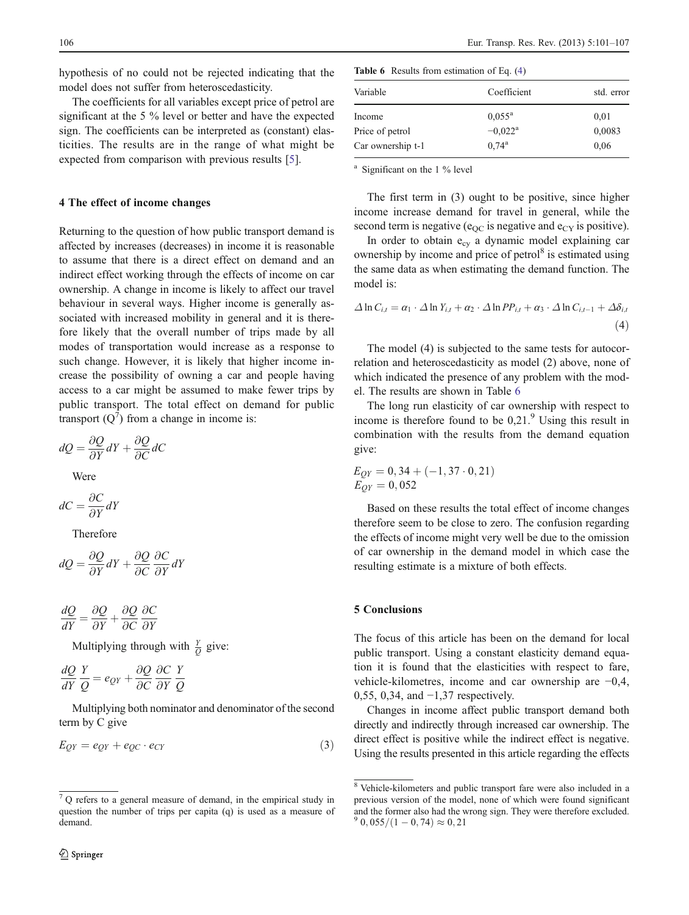hypothesis of no could not be rejected indicating that the model does not suffer from heteroscedasticity.

The coefficients for all variables except price of petrol are significant at the 5 % level or better and have the expected sign. The coefficients can be interpreted as (constant) elasticities. The results are in the range of what might be expected from comparison with previous results [[5\]](#page-6-0).

## 4 The effect of income changes

Returning to the question of how public transport demand is affected by increases (decreases) in income it is reasonable to assume that there is a direct effect on demand and an indirect effect working through the effects of income on car ownership. A change in income is likely to affect our travel behaviour in several ways. Higher income is generally associated with increased mobility in general and it is therefore likely that the overall number of trips made by all modes of transportation would increase as a response to such change. However, it is likely that higher income increase the possibility of owning a car and people having access to a car might be assumed to make fewer trips by public transport. The total effect on demand for public transport  $(Q^7)$  from a change in income is:

$$
dQ = \frac{\partial Q}{\partial Y} dY + \frac{\partial Q}{\partial C} dC
$$

Were

$$
dC = \frac{\partial C}{\partial Y} dY
$$

Therefore

$$
dQ = \frac{\partial Q}{\partial Y} dY + \frac{\partial Q}{\partial C} \frac{\partial C}{\partial Y} dY
$$

 $\frac{dQ}{dY} = \frac{\partial Q}{\partial Y} +$  $\partial Q$  $\overline{\partial C}$  $\partial C$  $\overline{\partial}Y$ 

Multiplying through with  $\frac{y}{Q}$  give:

$$
\frac{dQ}{dY}\frac{Y}{Q} = e_{QY} + \frac{\partial Q}{\partial C}\frac{\partial C}{\partial Y}\frac{Y}{Q}
$$

Multiplying both nominator and denominator of the second term by C give

$$
E_{QY} = e_{QY} + e_{QC} \cdot e_{CY} \tag{3}
$$

Table 6 Results from estimation of Eq. (4)

| Variable                  | Coefficient                              | std. error     |
|---------------------------|------------------------------------------|----------------|
| Income<br>Price of petrol | $0.055^{\rm a}$<br>$-0.022$ <sup>a</sup> | 0,01<br>0,0083 |
| Car ownership t-1         | $0.74^{\rm a}$                           | 0,06           |

Significant on the 1 % level

The first term in (3) ought to be positive, since higher income increase demand for travel in general, while the second term is negative ( $e_{OC}$  is negative and  $e_{CY}$  is positive).

In order to obtain e<sub>cy</sub> a dynamic model explaining car ownership by income and price of petrol $\delta$  is estimated using the same data as when estimating the demand function. The model is:

$$
\Delta \ln C_{i,t} = \alpha_1 \cdot \Delta \ln Y_{i,t} + \alpha_2 \cdot \Delta \ln PP_{i,t} + \alpha_3 \cdot \Delta \ln C_{i,t-1} + \Delta \delta_{i,t}
$$
\n(4)

The model (4) is subjected to the same tests for autocorrelation and heteroscedasticity as model (2) above, none of which indicated the presence of any problem with the model. The results are shown in Table 6

The long run elasticity of car ownership with respect to income is therefore found to be  $0.21$ .<sup>9</sup> Using this result in combination with the results from the demand equation give:

$$
E_{QY} = 0,34 + (-1,37 \cdot 0,21)
$$
  

$$
E_{QY} = 0,052
$$

Based on these results the total effect of income changes therefore seem to be close to zero. The confusion regarding the effects of income might very well be due to the omission of car ownership in the demand model in which case the resulting estimate is a mixture of both effects.

## 5 Conclusions

The focus of this article has been on the demand for local public transport. Using a constant elasticity demand equation it is found that the elasticities with respect to fare, vehicle-kilometres, income and car ownership are −0,4, 0,55, 0,34, and −1,37 respectively.

Changes in income affect public transport demand both directly and indirectly through increased car ownership. The direct effect is positive while the indirect effect is negative. Using the results presented in this article regarding the effects

 $7$  Q refers to a general measure of demand, in the empirical study in question the number of trips per capita (q) is used as a measure of demand.

<sup>8</sup> Vehicle-kilometers and public transport fare were also included in a previous version of the model, none of which were found significant and the former also had the wrong sign. They were therefore excluded.  $9,0.055/(1-0, 74) \approx 0,21$